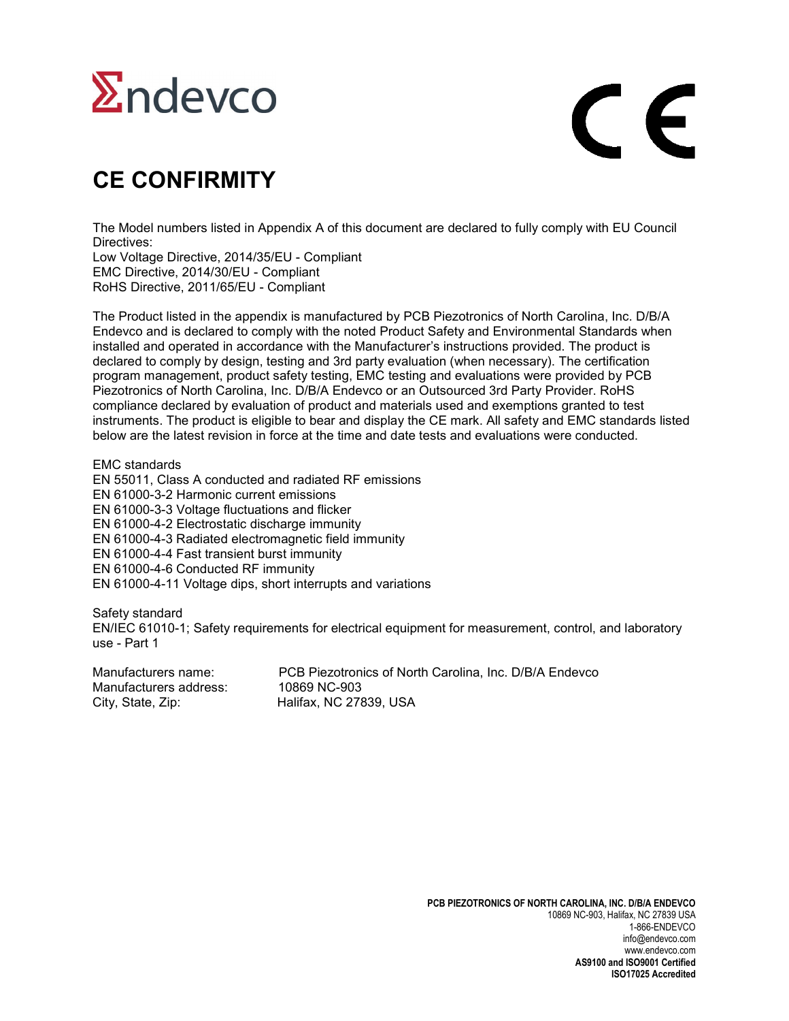## $\Sigma$ ndevco

# $\epsilon$

#### **CE CONFIRMITY**

The Model numbers listed in Appendix A of this document are declared to fully comply with EU Council Directives:

Low Voltage Directive, 2014/35/EU - Compliant EMC Directive, 2014/30/EU - Compliant RoHS Directive, 2011/65/EU - Compliant

The Product listed in the appendix is manufactured by PCB Piezotronics of North Carolina, Inc. D/B/A Endevco and is declared to comply with the noted Product Safety and Environmental Standards when installed and operated in accordance with the Manufacturer's instructions provided. The product is declared to comply by design, testing and 3rd party evaluation (when necessary). The certification program management, product safety testing, EMC testing and evaluations were provided by PCB Piezotronics of North Carolina, Inc. D/B/A Endevco or an Outsourced 3rd Party Provider. RoHS compliance declared by evaluation of product and materials used and exemptions granted to test instruments. The product is eligible to bear and display the CE mark. All safety and EMC standards listed below are the latest revision in force at the time and date tests and evaluations were conducted.

EMC standards EN 55011, Class A conducted and radiated RF emissions EN 61000-3-2 Harmonic current emissions EN 61000-3-3 Voltage fluctuations and flicker EN 61000-4-2 Electrostatic discharge immunity EN 61000-4-3 Radiated electromagnetic field immunity EN 61000-4-4 Fast transient burst immunity EN 61000-4-6 Conducted RF immunity EN 61000-4-11 Voltage dips, short interrupts and variations

Safety standard EN/IEC 61010-1; Safety requirements for electrical equipment for measurement, control, and laboratory use - Part 1

Manufacturers name: PCB Piezotronics of North Carolina, Inc. D/B/A Endevco Manufacturers address: 10869 NC-903 City, State, Zip: Halifax, NC 27839, USA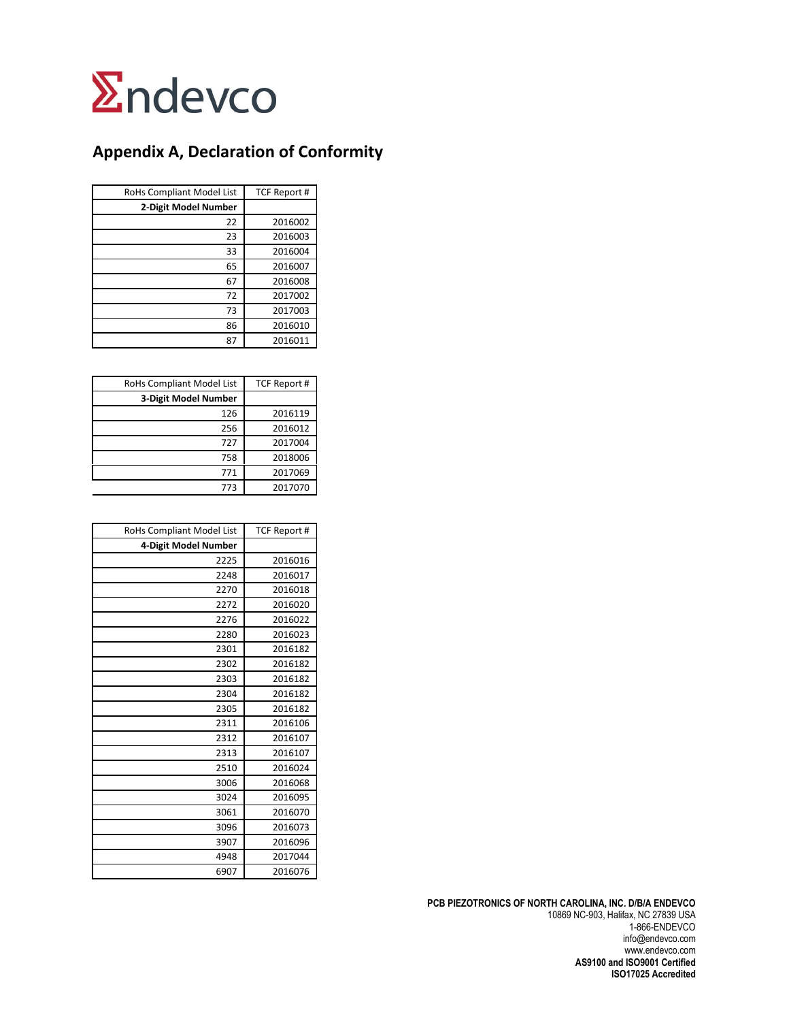

#### **Appendix A, Declaration of Conformity**

| RoHs Compliant Model List | TCF Report # |
|---------------------------|--------------|
| 2-Digit Model Number      |              |
| 22                        | 2016002      |
| 23                        | 2016003      |
| 33                        | 2016004      |
| 65                        | 2016007      |
| 67                        | 2016008      |
| 72                        | 2017002      |
| 73                        | 2017003      |
| 86                        | 2016010      |
| 87                        | 2016011      |

| RoHs Compliant Model List | <b>TCF Report #</b> |
|---------------------------|---------------------|
| 3-Digit Model Number      |                     |
| 126                       | 2016119             |
| 256                       | 2016012             |
| 727                       | 2017004             |
| 758                       | 2018006             |
| 771                       | 2017069             |
| 773                       | 2017070             |

| RoHs Compliant Model List | <b>TCF Report #</b> |
|---------------------------|---------------------|
| 4-Digit Model Number      |                     |
| 2225                      | 2016016             |
| 2248                      | 2016017             |
| 2270                      | 2016018             |
| 2272                      | 2016020             |
| 2276                      | 2016022             |
| 2280                      | 2016023             |
| 2301                      | 2016182             |
| 2302                      | 2016182             |
| 2303                      | 2016182             |
| 2304                      | 2016182             |
| 2305                      | 2016182             |
| 2311                      | 2016106             |
| 2312                      | 2016107             |
| 2313                      | 2016107             |
| 2510                      | 2016024             |
| 3006                      | 2016068             |
| 3024                      | 2016095             |
| 3061                      | 2016070             |
| 3096                      | 2016073             |
| 3907                      | 2016096             |
| 4948                      | 2017044             |
| 6907                      | 2016076             |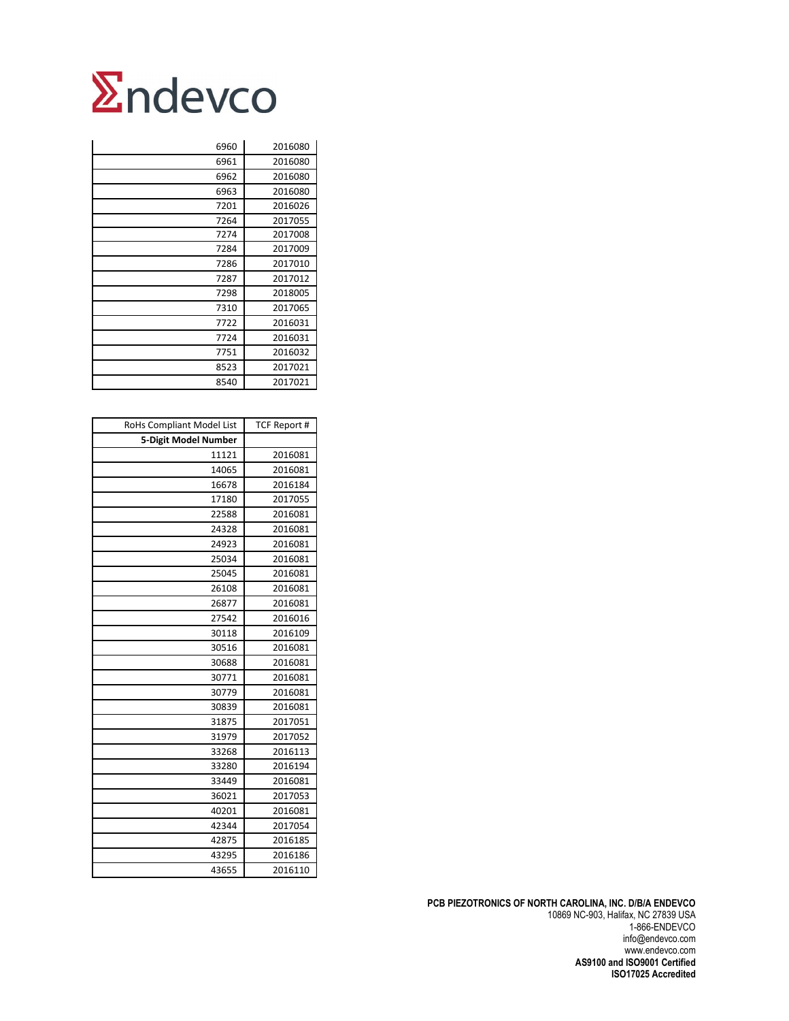| 6960 | 2016080 |
|------|---------|
| 6961 | 2016080 |
| 6962 | 2016080 |
| 6963 | 2016080 |
| 7201 | 2016026 |
| 7264 | 2017055 |
| 7274 | 2017008 |
| 7284 | 2017009 |
| 7286 | 2017010 |
| 7287 | 2017012 |
| 7298 | 2018005 |
| 7310 | 2017065 |
| 7722 | 2016031 |
| 7724 | 2016031 |
| 7751 | 2016032 |
| 8523 | 2017021 |
| 8540 | 2017021 |

| RoHs Compliant Model List | <b>TCF Report #</b> |
|---------------------------|---------------------|
| 5-Digit Model Number      |                     |
| 11121                     | 2016081             |
| 14065                     | 2016081             |
| 16678                     | 2016184             |
| 17180                     | 2017055             |
| 22588                     | 2016081             |
| 24328                     | 2016081             |
| 24923                     | 2016081             |
| 25034                     | 2016081             |
| 25045                     | 2016081             |
| 26108                     | 2016081             |
| 26877                     | 2016081             |
| 27542                     | 2016016             |
| 30118                     | 2016109             |
| 30516                     | 2016081             |
| 30688                     | 2016081             |
| 30771                     | 2016081             |
| 30779                     | 2016081             |
| 30839                     | 2016081             |
| 31875                     | 2017051             |
| 31979                     | 2017052             |
| 33268                     | 2016113             |
| 33280                     | 2016194             |
| 33449                     | 2016081             |
| 36021                     | 2017053             |
| 40201                     | 2016081             |
| 42344                     | 2017054             |
| 42875                     | 2016185             |
| 43295                     | 2016186             |
| 43655                     | 2016110             |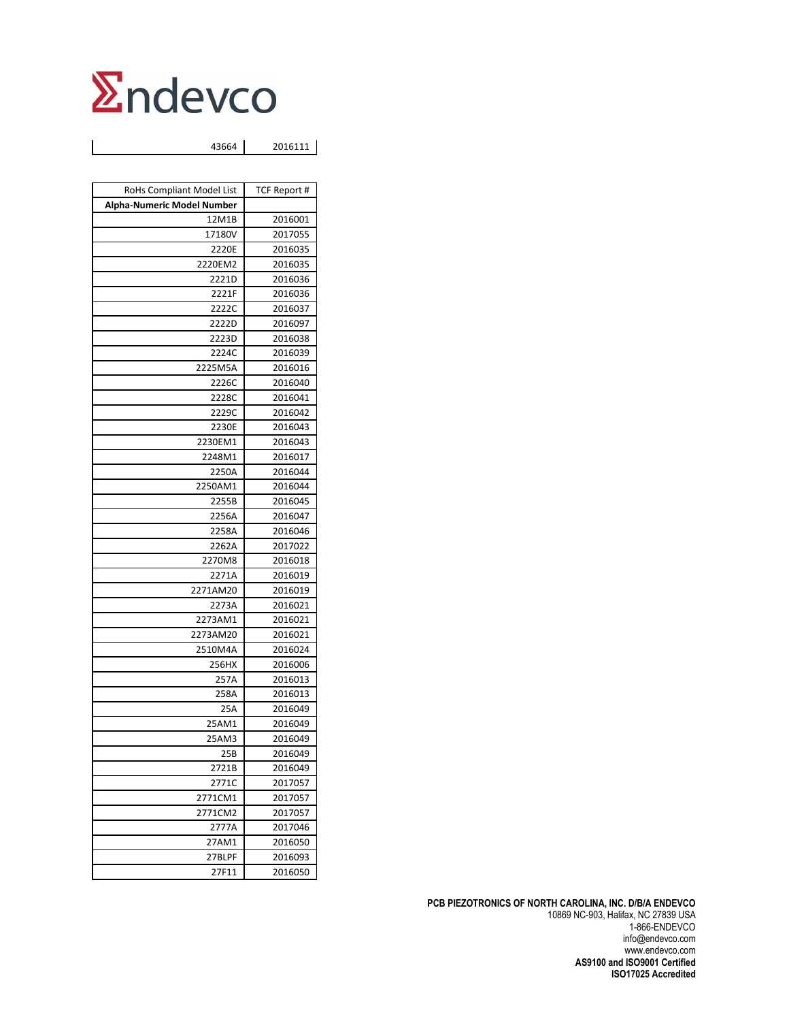43664 2016111

| RoHs Compliant Model List         | TCF Report #       |
|-----------------------------------|--------------------|
| <b>Alpha-Numeric Model Number</b> |                    |
| 12M1B                             | 2016001            |
| 17180V                            | 2017055            |
| 2220E                             | 2016035            |
| 2220EM2                           | 2016035            |
| 2221D                             | 2016036            |
| 2221F                             | 2016036            |
| 2222C                             | 2016037            |
| 2222D                             | 2016097            |
| 2223D                             | 2016038            |
| 2224C                             | 2016039            |
| 2225M5A                           | 2016016            |
| 2226C                             | 2016040            |
| 2228C                             | 2016041            |
| 2229C                             | 2016042            |
| 2230E                             | 2016043            |
| 2230EM1                           | 2016043            |
| 2248M1                            | 2016017            |
| 2250A                             | 2016044            |
| 2250AM1                           | 2016044            |
| 2255B                             | 2016045            |
| 2256A                             | 2016047            |
| 2258A                             | 2016046            |
| 2262A                             | 2017022            |
| 2270M8                            | 2016018            |
| 2271A                             | 2016019            |
| 2271AM20                          | 2016019            |
| 2273A                             | 2016021            |
| 2273AM1                           | 2016021            |
| 2273AM20                          | 2016021            |
| 2510M4A                           | 2016024            |
| 256HX                             | 2016006            |
| 257A                              | 2016013            |
| 258A                              | 2016013            |
| 25A                               | 2016049            |
| 25AM1                             | 2016049            |
| 25AM3                             | 2016049            |
| 25B                               | 2016049            |
| 2721B                             | 2016049            |
| 2771C                             | 2017057            |
| 2771CM1                           | 2017057            |
| 2771CM2                           | 2017057            |
| 2777A                             | 2017046            |
| 27AM1<br>27BLPF                   | 2016050<br>2016093 |
|                                   |                    |
| 27F11                             | 2016050            |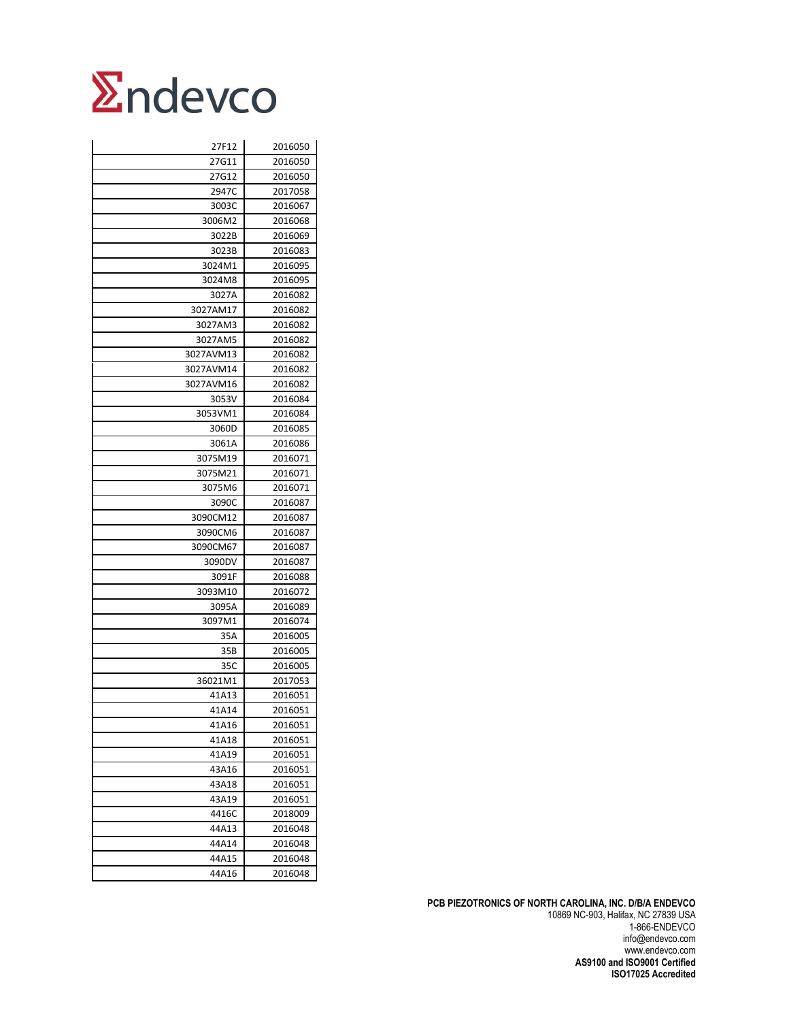| 27F12     | 2016050 |
|-----------|---------|
| 27G11     | 2016050 |
| 27G12     | 2016050 |
| 2947C     | 2017058 |
| 3003C     | 2016067 |
| 3006M2    | 2016068 |
| 3022B     | 2016069 |
| 3023B     | 2016083 |
| 3024M1    | 2016095 |
| 3024M8    | 2016095 |
| 3027A     | 2016082 |
| 3027AM17  | 2016082 |
| 3027AM3   | 2016082 |
| 3027AM5   | 2016082 |
| 3027AVM13 | 2016082 |
| 3027AVM14 | 2016082 |
| 3027AVM16 | 2016082 |
| 3053V     | 2016084 |
| 3053VM1   | 2016084 |
| 3060D     | 2016085 |
| 3061A     | 2016086 |
| 3075M19   | 2016071 |
| 3075M21   | 2016071 |
| 3075M6    | 2016071 |
| 3090C     | 2016087 |
| 3090CM12  | 2016087 |
| 3090CM6   | 2016087 |
| 3090CM67  | 2016087 |
| 3090DV    | 2016087 |
| 3091F     | 2016088 |
| 3093M10   | 2016072 |
| 3095A     | 2016089 |
| 3097M1    | 2016074 |
| 35A       | 2016005 |
| 35B       | 2016005 |
| 35C       | 2016005 |
| 36021M1   | 2017053 |
| 41A13     | 2016051 |
| 41A14     | 2016051 |
| 41A16     | 2016051 |
| 41A18     | 2016051 |
| 41A19     | 2016051 |
| 43A16     | 2016051 |
| 43A18     | 2016051 |
| 43A19     | 2016051 |
| 4416C     | 2018009 |
| 44A13     | 2016048 |
| 44A14     | 2016048 |
| 44A15     | 2016048 |
| 44A16     | 2016048 |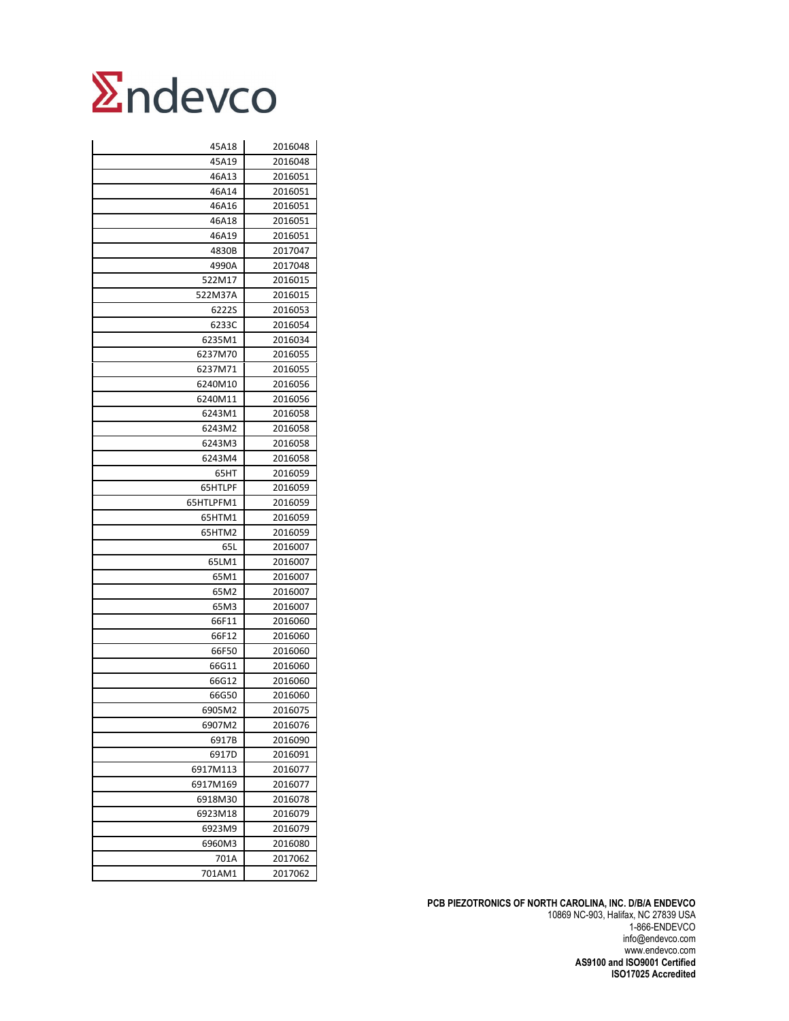| 45A18          | 2016048 |
|----------------|---------|
| 45A19          | 2016048 |
| 46A13          | 2016051 |
| 46A14          | 2016051 |
| 46A16          | 2016051 |
| 46A18          | 2016051 |
| 46A19          | 2016051 |
| 4830B          | 2017047 |
| 4990A          | 2017048 |
| 522M17         | 2016015 |
| 522M37A        | 2016015 |
| 6222S          | 2016053 |
| 6233C          | 2016054 |
| 6235M1         | 2016034 |
| 6237M70        | 2016055 |
| 6237M71        | 2016055 |
| 6240M10        | 2016056 |
| 6240M11        | 2016056 |
| 6243M1         | 2016058 |
| 6243M2         | 2016058 |
| 6243M3         | 2016058 |
| 6243M4         | 2016058 |
| 65HT           | 2016059 |
| 65HTLPF        | 2016059 |
| 65HTLPFM1      | 2016059 |
| 65HTM1         | 2016059 |
| 65HTM2         | 2016059 |
| 65L            | 2016007 |
| 65LM1          | 2016007 |
| 65M1           | 2016007 |
| 65M2           | 2016007 |
| 65M3           | 2016007 |
| 66F11          | 2016060 |
| 66F12          | 2016060 |
| 66F50          | 2016060 |
| 66G11          | 2016060 |
| 66G12          | 2016060 |
| 66G50          | 2016060 |
| 6905M2         | 2016075 |
| 6907M2         | 2016076 |
| 6917B          | 2016090 |
| 6917D          | 2016091 |
| 6917M113       | 2016077 |
| 6917M169       | 2016077 |
| 6918M30        | 2016078 |
| 6923M18        | 2016079 |
| 6923M9         | 2016079 |
| 6960M3         | 2016080 |
|                |         |
| 701A<br>701AM1 | 2017062 |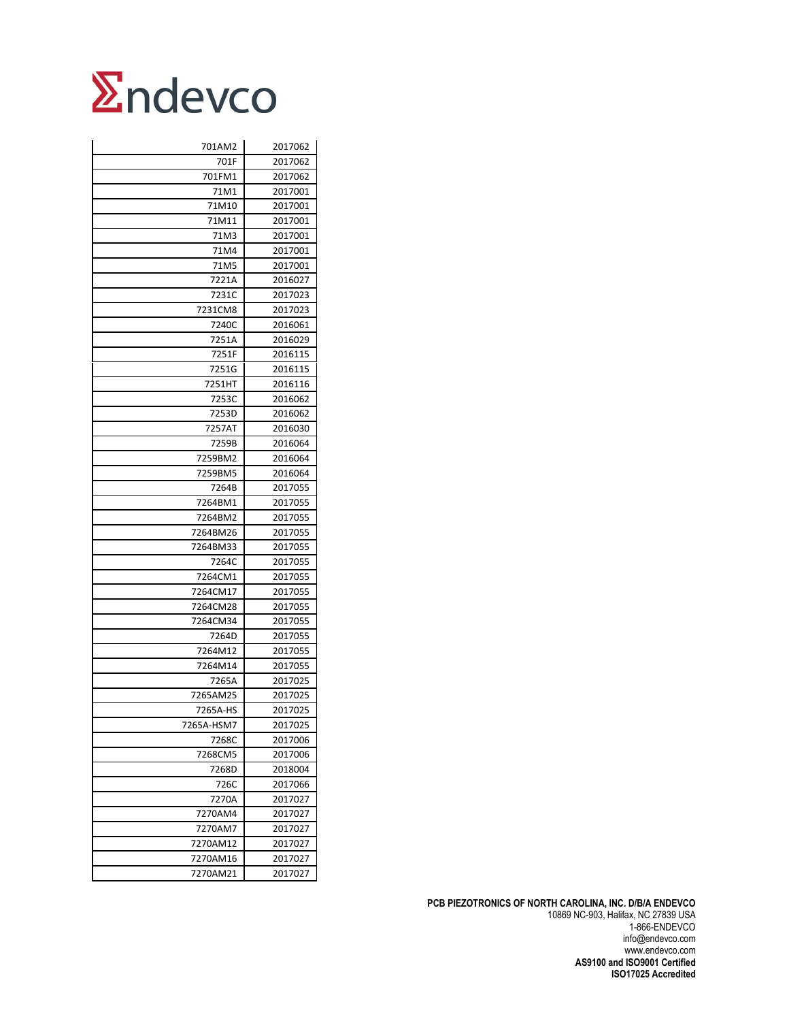

| 701AM2     | 2017062 |
|------------|---------|
| 701F       | 2017062 |
| 701FM1     | 2017062 |
| 71M1       | 2017001 |
| 71M10      | 2017001 |
| 71M11      | 2017001 |
| 71M3       | 2017001 |
| 71M4       | 2017001 |
| 71M5       | 2017001 |
| 7221A      | 2016027 |
| 7231C      | 2017023 |
| 7231CM8    | 2017023 |
| 7240C      | 2016061 |
| 7251A      | 2016029 |
| 7251F      | 2016115 |
| 7251G      | 2016115 |
| 7251HT     | 2016116 |
| 7253C      | 2016062 |
| 7253D      | 2016062 |
| 7257AT     | 2016030 |
| 7259B      | 2016064 |
| 7259BM2    | 2016064 |
| 7259BM5    | 2016064 |
| 7264B      | 2017055 |
| 7264BM1    | 2017055 |
| 7264BM2    | 2017055 |
| 7264BM26   | 2017055 |
| 7264BM33   | 2017055 |
| 7264C      | 2017055 |
| 7264CM1    | 2017055 |
| 7264CM17   | 2017055 |
| 7264CM28   | 2017055 |
| 7264CM34   | 2017055 |
| 7264D      | 2017055 |
| 7264M12    | 2017055 |
| 7264M14    | 2017055 |
| 7265A      | 2017025 |
| 7265AM25   | 2017025 |
| 7265A-HS   | 2017025 |
| 7265A-HSM7 | 2017025 |
| 7268C      | 2017006 |
| 7268CM5    | 2017006 |
| 7268D      | 2018004 |
| 726C       | 2017066 |
| 7270A      | 2017027 |
| 7270AM4    | 2017027 |
| 7270AM7    | 2017027 |
| 7270AM12   | 2017027 |
| 7270AM16   | 2017027 |
| 7270AM21   | 2017027 |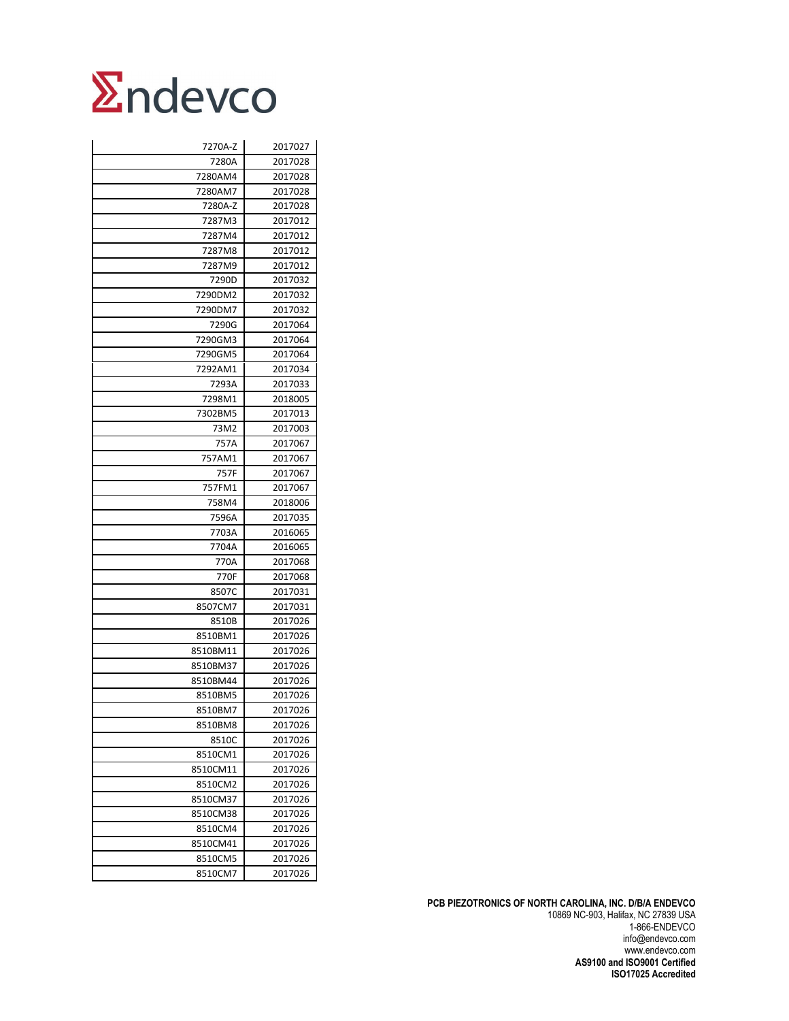| 7270A-Z  | 2017027 |
|----------|---------|
| 7280A    | 2017028 |
| 7280AM4  | 2017028 |
| 7280AM7  | 2017028 |
| 7280A-Z  | 2017028 |
| 7287M3   | 2017012 |
| 7287M4   | 2017012 |
| 7287M8   | 2017012 |
| 7287M9   | 2017012 |
| 7290D    | 2017032 |
| 7290DM2  | 2017032 |
| 7290DM7  | 2017032 |
| 7290G    | 2017064 |
| 7290GM3  | 2017064 |
| 7290GM5  | 2017064 |
| 7292AM1  | 2017034 |
| 7293A    | 2017033 |
| 7298M1   | 2018005 |
| 7302BM5  | 2017013 |
| 73M2     | 2017003 |
| 757A     | 2017067 |
| 757AM1   | 2017067 |
| 757F     | 2017067 |
| 757FM1   | 2017067 |
| 758M4    | 2018006 |
| 7596A    | 2017035 |
| 7703A    | 2016065 |
| 7704A    | 2016065 |
| 770A     | 2017068 |
| 770F     | 2017068 |
| 8507C    | 2017031 |
| 8507CM7  | 2017031 |
| 8510B    | 2017026 |
| 8510BM1  | 2017026 |
| 8510BM11 | 2017026 |
| 8510BM37 | 2017026 |
| 8510BM44 | 2017026 |
| 8510BM5  | 2017026 |
| 8510BM7  | 2017026 |
| 8510BM8  | 2017026 |
| 8510C    | 2017026 |
| 8510CM1  | 2017026 |
| 8510CM11 | 2017026 |
| 8510CM2  | 2017026 |
| 8510CM37 | 2017026 |
| 8510CM38 | 2017026 |
| 8510CM4  | 2017026 |
| 8510CM41 | 2017026 |
| 8510CM5  | 2017026 |
| 8510CM7  | 2017026 |